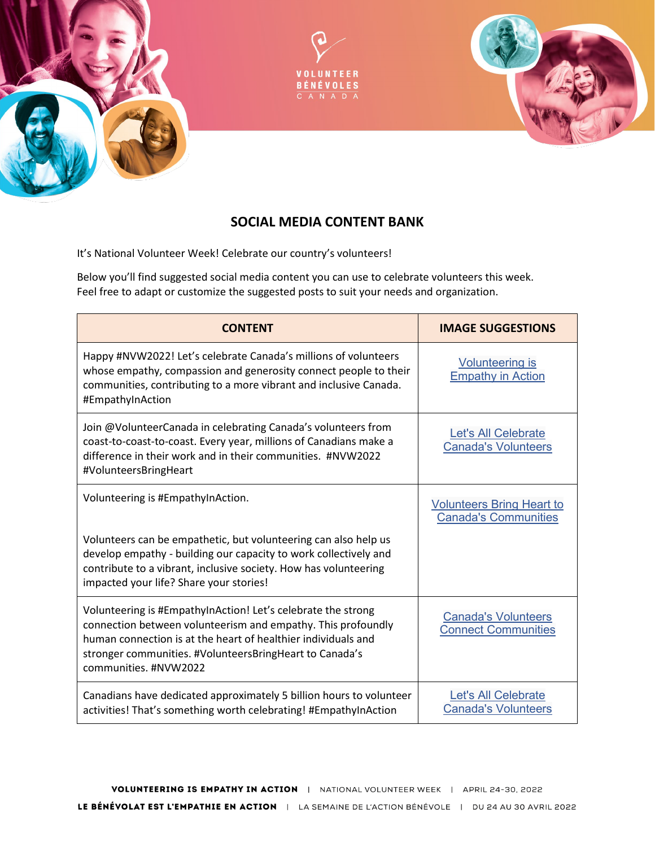





It's National Volunteer Week! Celebrate our country's volunteers!

Below you'll find suggested social media content you can use to celebrate volunteers this week. Feel free to adapt or customize the suggested posts to suit your needs and organization.

| <b>CONTENT</b>                                                                                                                                                                                                                                                                    | <b>IMAGE SUGGESTIONS</b>                                        |
|-----------------------------------------------------------------------------------------------------------------------------------------------------------------------------------------------------------------------------------------------------------------------------------|-----------------------------------------------------------------|
| Happy #NVW2022! Let's celebrate Canada's millions of volunteers<br>whose empathy, compassion and generosity connect people to their<br>communities, contributing to a more vibrant and inclusive Canada.<br>#EmpathyInAction                                                      | <b>Volunteering is</b><br><b>Empathy in Action</b>              |
| Join @VolunteerCanada in celebrating Canada's volunteers from<br>coast-to-coast-to-coast. Every year, millions of Canadians make a<br>difference in their work and in their communities. #NVW2022<br>#VolunteersBringHeart                                                        | <b>Let's All Celebrate</b><br><b>Canada's Volunteers</b>        |
| Volunteering is #EmpathyInAction.                                                                                                                                                                                                                                                 | <b>Volunteers Bring Heart to</b><br><b>Canada's Communities</b> |
| Volunteers can be empathetic, but volunteering can also help us<br>develop empathy - building our capacity to work collectively and<br>contribute to a vibrant, inclusive society. How has volunteering<br>impacted your life? Share your stories!                                |                                                                 |
| Volunteering is #EmpathyInAction! Let's celebrate the strong<br>connection between volunteerism and empathy. This profoundly<br>human connection is at the heart of healthier individuals and<br>stronger communities. #VolunteersBringHeart to Canada's<br>communities. #NVW2022 | <b>Canada's Volunteers</b><br><b>Connect Communities</b>        |
| Canadians have dedicated approximately 5 billion hours to volunteer<br>activities! That's something worth celebrating! #EmpathyInAction                                                                                                                                           | Let's All Celebrate<br><b>Canada's Volunteers</b>               |